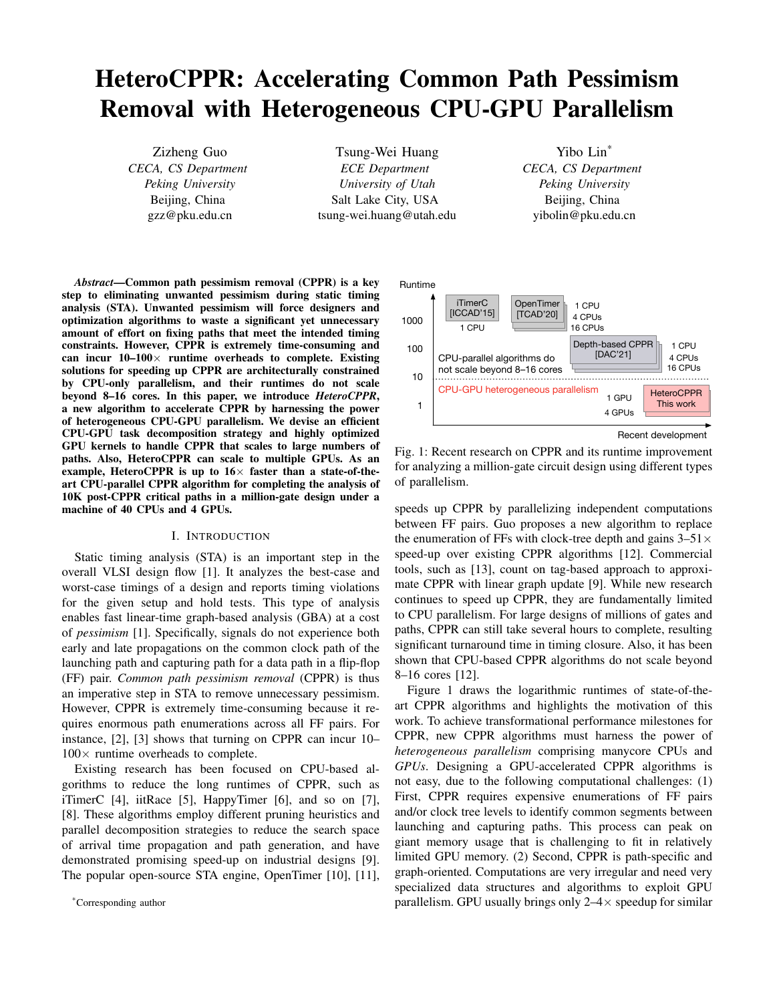# HeteroCPPR: Accelerating Common Path Pessimism Removal with Heterogeneous CPU-GPU Parallelism

Zizheng Guo *CECA, CS Department Peking University* Beijing, China gzz@pku.edu.cn

Tsung-Wei Huang *ECE Department University of Utah* Salt Lake City, USA tsung-wei.huang@utah.edu

Yibo Lin\* *CECA, CS Department Peking University* Beijing, China yibolin@pku.edu.cn

*Abstract*—Common path pessimism removal (CPPR) is a key step to eliminating unwanted pessimism during static timing analysis (STA). Unwanted pessimism will force designers and optimization algorithms to waste a significant yet unnecessary amount of effort on fixing paths that meet the intended timing constraints. However, CPPR is extremely time-consuming and can incur  $10-100 \times$  runtime overheads to complete. Existing solutions for speeding up CPPR are architecturally constrained by CPU-only parallelism, and their runtimes do not scale beyond 8–16 cores. In this paper, we introduce *HeteroCPPR*, a new algorithm to accelerate CPPR by harnessing the power of heterogeneous CPU-GPU parallelism. We devise an efficient CPU-GPU task decomposition strategy and highly optimized GPU kernels to handle CPPR that scales to large numbers of paths. Also, HeteroCPPR can scale to multiple GPUs. As an example, HeteroCPPR is up to  $16\times$  faster than a state-of-theart CPU-parallel CPPR algorithm for completing the analysis of 10K post-CPPR critical paths in a million-gate design under a machine of 40 CPUs and 4 GPUs.

### I. INTRODUCTION

Static timing analysis (STA) is an important step in the overall VLSI design flow [1]. It analyzes the best-case and worst-case timings of a design and reports timing violations for the given setup and hold tests. This type of analysis enables fast linear-time graph-based analysis (GBA) at a cost of *pessimism* [1]. Specifically, signals do not experience both early and late propagations on the common clock path of the launching path and capturing path for a data path in a flip-flop (FF) pair. *Common path pessimism removal* (CPPR) is thus an imperative step in STA to remove unnecessary pessimism. However, CPPR is extremely time-consuming because it requires enormous path enumerations across all FF pairs. For instance, [2], [3] shows that turning on CPPR can incur 10–  $100\times$  runtime overheads to complete.

Existing research has been focused on CPU-based algorithms to reduce the long runtimes of CPPR, such as iTimerC [4], iitRace [5], HappyTimer [6], and so on [7], [8]. These algorithms employ different pruning heuristics and parallel decomposition strategies to reduce the search space of arrival time propagation and path generation, and have demonstrated promising speed-up on industrial designs [9]. The popular open-source STA engine, OpenTimer [10], [11],



Recent development

Fig. 1: Recent research on CPPR and its runtime improvement for analyzing a million-gate circuit design using different types of parallelism.

speeds up CPPR by parallelizing independent computations between FF pairs. Guo proposes a new algorithm to replace the enumeration of FFs with clock-tree depth and gains  $3-51\times$ speed-up over existing CPPR algorithms [12]. Commercial tools, such as [13], count on tag-based approach to approximate CPPR with linear graph update [9]. While new research continues to speed up CPPR, they are fundamentally limited to CPU parallelism. For large designs of millions of gates and paths, CPPR can still take several hours to complete, resulting significant turnaround time in timing closure. Also, it has been shown that CPU-based CPPR algorithms do not scale beyond 8–16 cores [12].

Figure 1 draws the logarithmic runtimes of state-of-theart CPPR algorithms and highlights the motivation of this work. To achieve transformational performance milestones for CPPR, new CPPR algorithms must harness the power of *heterogeneous parallelism* comprising manycore CPUs and *GPUs*. Designing a GPU-accelerated CPPR algorithms is not easy, due to the following computational challenges: (1) First, CPPR requires expensive enumerations of FF pairs and/or clock tree levels to identify common segments between launching and capturing paths. This process can peak on giant memory usage that is challenging to fit in relatively limited GPU memory. (2) Second, CPPR is path-specific and graph-oriented. Computations are very irregular and need very specialized data structures and algorithms to exploit GPU parallelism. GPU usually brings only  $2-4\times$  speedup for similar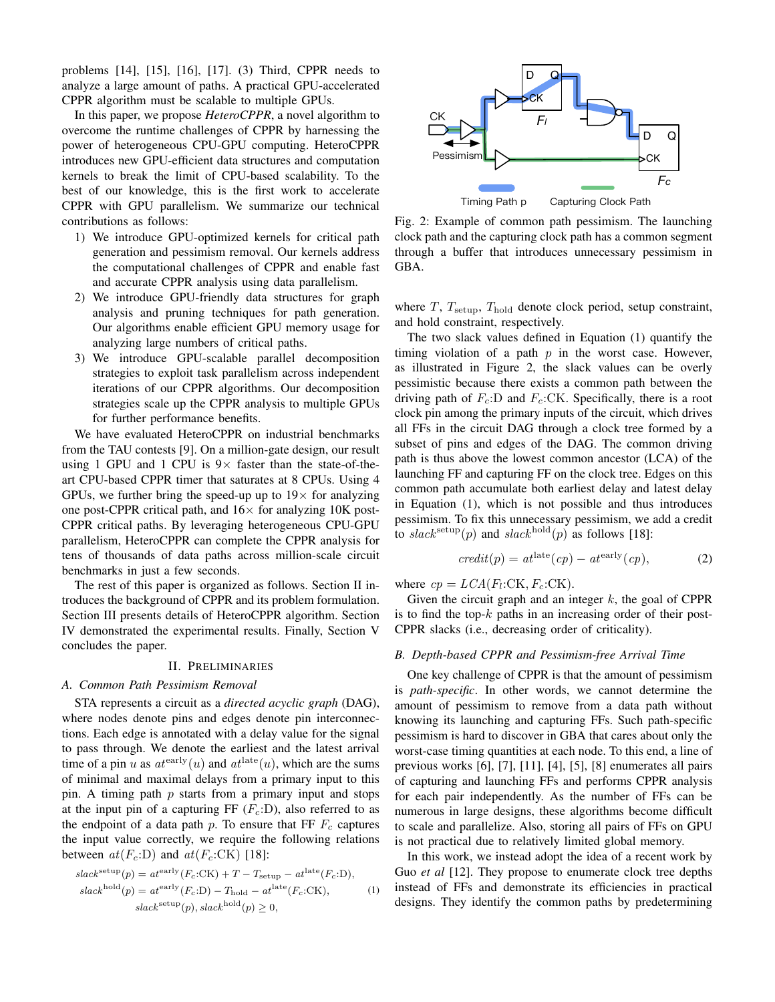problems [14], [15], [16], [17]. (3) Third, CPPR needs to analyze a large amount of paths. A practical GPU-accelerated CPPR algorithm must be scalable to multiple GPUs.

In this paper, we propose *HeteroCPPR*, a novel algorithm to overcome the runtime challenges of CPPR by harnessing the power of heterogeneous CPU-GPU computing. HeteroCPPR introduces new GPU-efficient data structures and computation kernels to break the limit of CPU-based scalability. To the best of our knowledge, this is the first work to accelerate CPPR with GPU parallelism. We summarize our technical contributions as follows:

- 1) We introduce GPU-optimized kernels for critical path generation and pessimism removal. Our kernels address the computational challenges of CPPR and enable fast and accurate CPPR analysis using data parallelism.
- 2) We introduce GPU-friendly data structures for graph analysis and pruning techniques for path generation. Our algorithms enable efficient GPU memory usage for analyzing large numbers of critical paths.
- 3) We introduce GPU-scalable parallel decomposition strategies to exploit task parallelism across independent iterations of our CPPR algorithms. Our decomposition strategies scale up the CPPR analysis to multiple GPUs for further performance benefits.

We have evaluated HeteroCPPR on industrial benchmarks from the TAU contests [9]. On a million-gate design, our result using 1 GPU and 1 CPU is  $9 \times$  faster than the state-of-theart CPU-based CPPR timer that saturates at 8 CPUs. Using 4 GPUs, we further bring the speed-up up to  $19\times$  for analyzing one post-CPPR critical path, and  $16\times$  for analyzing 10K post-CPPR critical paths. By leveraging heterogeneous CPU-GPU parallelism, HeteroCPPR can complete the CPPR analysis for tens of thousands of data paths across million-scale circuit benchmarks in just a few seconds.

The rest of this paper is organized as follows. Section II introduces the background of CPPR and its problem formulation. Section III presents details of HeteroCPPR algorithm. Section IV demonstrated the experimental results. Finally, Section V concludes the paper.

#### II. PRELIMINARIES

#### *A. Common Path Pessimism Removal*

STA represents a circuit as a *directed acyclic graph* (DAG), where nodes denote pins and edges denote pin interconnections. Each edge is annotated with a delay value for the signal to pass through. We denote the earliest and the latest arrival time of a pin u as  $at^{\text{early}}(u)$  and  $at^{\text{late}}(u)$ , which are the sums of minimal and maximal delays from a primary input to this pin. A timing path  $p$  starts from a primary input and stops at the input pin of a capturing FF  $(F_c:D)$ , also referred to as the endpoint of a data path p. To ensure that FF  $F_c$  captures the input value correctly, we require the following relations between  $at(F_c:D)$  and  $at(F_c:CK)$  [18]:

$$
slacksetup(p) = atearly (Fc:CK) + T - Tsetup - atlate (Fc:D),
$$
  
\n
$$
slackhold(p) = atearly (Fc:D) - Thold - atlate (Fc:CK),
$$
  
\n
$$
slacksetup(p), slackhold(p) \ge 0,
$$
 (1)



Fig. 2: Example of common path pessimism. The launching clock path and the capturing clock path has a common segment through a buffer that introduces unnecessary pessimism in GBA.

where  $T$ ,  $T_{\text{setup}}$ ,  $T_{\text{hold}}$  denote clock period, setup constraint, and hold constraint, respectively.

The two slack values defined in Equation (1) quantify the timing violation of a path  $p$  in the worst case. However, as illustrated in Figure 2, the slack values can be overly pessimistic because there exists a common path between the driving path of  $F_c$ :D and  $F_c$ :CK. Specifically, there is a root clock pin among the primary inputs of the circuit, which drives all FFs in the circuit DAG through a clock tree formed by a subset of pins and edges of the DAG. The common driving path is thus above the lowest common ancestor (LCA) of the launching FF and capturing FF on the clock tree. Edges on this common path accumulate both earliest delay and latest delay in Equation (1), which is not possible and thus introduces pessimism. To fix this unnecessary pessimism, we add a credit to slack<sup>setup</sup>(p) and slack<sup>hold</sup>(p) as follows [18]:

$$
credit(p) = atlate(cp) - atearly(cp),
$$
 (2)

where  $cp = LCA(F_l:CK, F_c:CK)$ .

Given the circuit graph and an integer  $k$ , the goal of CPPR is to find the top- $k$  paths in an increasing order of their post-CPPR slacks (i.e., decreasing order of criticality).

# *B. Depth-based CPPR and Pessimism-free Arrival Time*

One key challenge of CPPR is that the amount of pessimism is *path-specific*. In other words, we cannot determine the amount of pessimism to remove from a data path without knowing its launching and capturing FFs. Such path-specific pessimism is hard to discover in GBA that cares about only the worst-case timing quantities at each node. To this end, a line of previous works [6], [7], [11], [4], [5], [8] enumerates all pairs of capturing and launching FFs and performs CPPR analysis for each pair independently. As the number of FFs can be numerous in large designs, these algorithms become difficult to scale and parallelize. Also, storing all pairs of FFs on GPU is not practical due to relatively limited global memory.

In this work, we instead adopt the idea of a recent work by Guo *et al* [12]. They propose to enumerate clock tree depths instead of FFs and demonstrate its efficiencies in practical designs. They identify the common paths by predetermining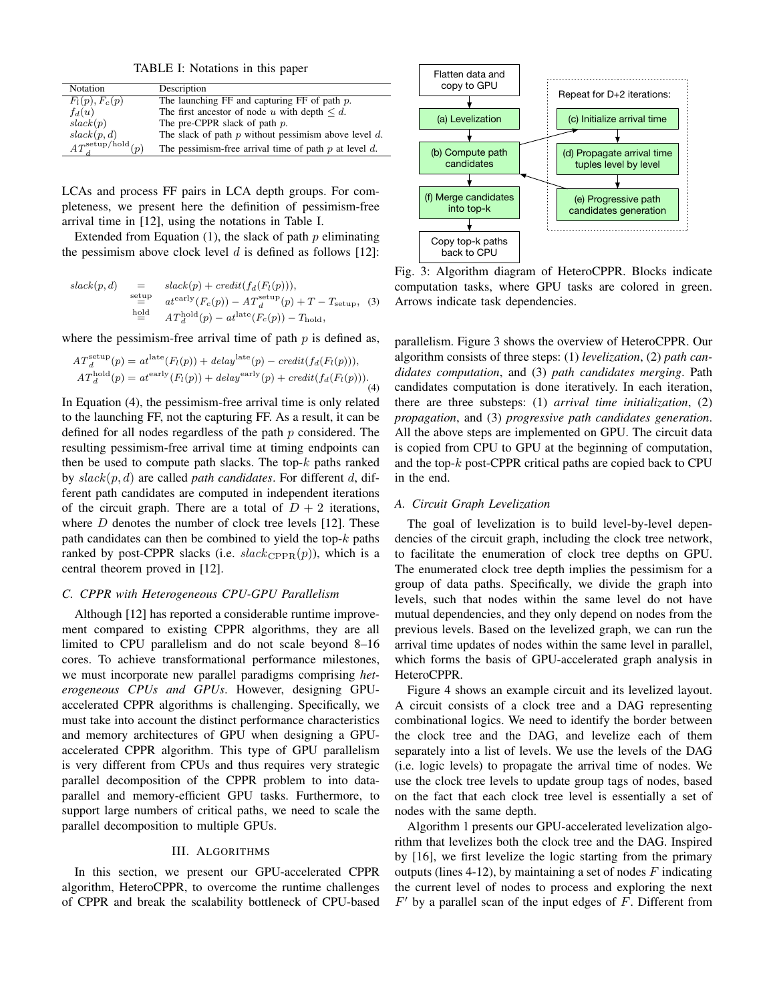TABLE I: Notations in this paper

| Notation                          | Description                                                |
|-----------------------------------|------------------------------------------------------------|
| $F_l(p), F_c(p)$                  | The launching FF and capturing FF of path $p$ .            |
| $f_d(u)$                          | The first ancestor of node u with depth $\leq d$ .         |
| slack(p)                          | The pre-CPPR slack of path $p$ .                           |
| slack(p, d)                       | The slack of path $p$ without pessimism above level $d$ .  |
| $AT_{d}^{\mathrm{setup/fold}}(n)$ | The pessimism-free arrival time of path $p$ at level $d$ . |

LCAs and process FF pairs in LCA depth groups. For completeness, we present here the definition of pessimism-free arrival time in [12], using the notations in Table I.

Extended from Equation  $(1)$ , the slack of path p eliminating the pessimism above clock level  $d$  is defined as follows [12]:

$$
slack(p, d) = slack(p) + credit(f_d(F_l(p))),
$$
  
\n
$$
= at^{\text{early}} (F_c(p)) - AT_d^{\text{setup}}(p) + T - T_{\text{setup}},
$$
  
\n
$$
= AT_d^{\text{hold}}(p) - at^{\text{late}}(F_c(p)) - T_{\text{hold}},
$$
 (3)

where the pessimism-free arrival time of path  $p$  is defined as,

$$
AT_d^{\text{setup}}(p) = at^{\text{late}}(F_l(p)) + delay^{\text{late}}(p) - credit(f_d(F_l(p))),
$$
  

$$
AT_d^{\text{hold}}(p) = at^{\text{early}}(F_l(p)) + delay^{\text{early}}(p) + credit(f_d(F_l(p))).
$$
 (4)

In Equation (4), the pessimism-free arrival time is only related to the launching FF, not the capturing FF. As a result, it can be defined for all nodes regardless of the path  $p$  considered. The resulting pessimism-free arrival time at timing endpoints can then be used to compute path slacks. The top- $k$  paths ranked by slack(p, d) are called *path candidates*. For different d, different path candidates are computed in independent iterations of the circuit graph. There are a total of  $D + 2$  iterations, where  $D$  denotes the number of clock tree levels [12]. These path candidates can then be combined to yield the top- $k$  paths ranked by post-CPPR slacks (i.e.  $slack_{\text{CPPR}}(p)$ ), which is a central theorem proved in [12].

### *C. CPPR with Heterogeneous CPU-GPU Parallelism*

Although [12] has reported a considerable runtime improvement compared to existing CPPR algorithms, they are all limited to CPU parallelism and do not scale beyond 8–16 cores. To achieve transformational performance milestones, we must incorporate new parallel paradigms comprising *heterogeneous CPUs and GPUs*. However, designing GPUaccelerated CPPR algorithms is challenging. Specifically, we must take into account the distinct performance characteristics and memory architectures of GPU when designing a GPUaccelerated CPPR algorithm. This type of GPU parallelism is very different from CPUs and thus requires very strategic parallel decomposition of the CPPR problem to into dataparallel and memory-efficient GPU tasks. Furthermore, to support large numbers of critical paths, we need to scale the parallel decomposition to multiple GPUs.

#### III. ALGORITHMS

In this section, we present our GPU-accelerated CPPR algorithm, HeteroCPPR, to overcome the runtime challenges of CPPR and break the scalability bottleneck of CPU-based



Fig. 3: Algorithm diagram of HeteroCPPR. Blocks indicate computation tasks, where GPU tasks are colored in green. Arrows indicate task dependencies.

parallelism. Figure 3 shows the overview of HeteroCPPR. Our algorithm consists of three steps: (1) *levelization*, (2) *path candidates computation*, and (3) *path candidates merging*. Path candidates computation is done iteratively. In each iteration, there are three substeps: (1) *arrival time initialization*, (2) *propagation*, and (3) *progressive path candidates generation*. All the above steps are implemented on GPU. The circuit data is copied from CPU to GPU at the beginning of computation, and the top- $k$  post-CPPR critical paths are copied back to CPU in the end.

#### *A. Circuit Graph Levelization*

The goal of levelization is to build level-by-level dependencies of the circuit graph, including the clock tree network, to facilitate the enumeration of clock tree depths on GPU. The enumerated clock tree depth implies the pessimism for a group of data paths. Specifically, we divide the graph into levels, such that nodes within the same level do not have mutual dependencies, and they only depend on nodes from the previous levels. Based on the levelized graph, we can run the arrival time updates of nodes within the same level in parallel, which forms the basis of GPU-accelerated graph analysis in HeteroCPPR.

Figure 4 shows an example circuit and its levelized layout. A circuit consists of a clock tree and a DAG representing combinational logics. We need to identify the border between the clock tree and the DAG, and levelize each of them separately into a list of levels. We use the levels of the DAG (i.e. logic levels) to propagate the arrival time of nodes. We use the clock tree levels to update group tags of nodes, based on the fact that each clock tree level is essentially a set of nodes with the same depth.

Algorithm 1 presents our GPU-accelerated levelization algorithm that levelizes both the clock tree and the DAG. Inspired by [16], we first levelize the logic starting from the primary outputs (lines 4-12), by maintaining a set of nodes  $F$  indicating the current level of nodes to process and exploring the next  $F'$  by a parallel scan of the input edges of  $F$ . Different from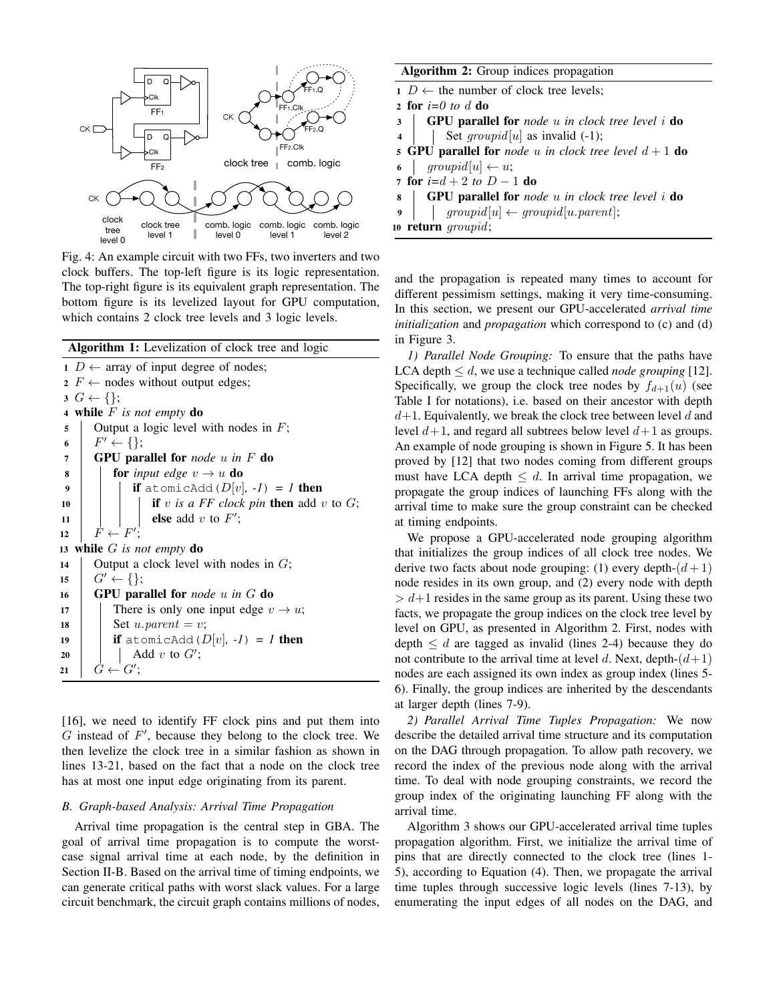

Fig. 4: An example circuit with two FFs, two inverters and two clock buffers. The top-left figure is its logic representation. The top-right figure is its equivalent graph representation. The bottom figure is its levelized layout for GPU computation, which contains 2 clock tree levels and 3 logic levels.

|    | Algorithm 1: Levelization of clock tree and logic |
|----|---------------------------------------------------|
|    | $1 D \leftarrow$ array of input degree of nodes;  |
|    | 2 $F \leftarrow$ nodes without output edges;      |
|    | $G \leftarrow \{\};$                              |
|    | 4 while $F$ is not empty do                       |
| 5  | Output a logic level with nodes in $F$ ;          |
| 6  | $F' \leftarrow \{\};$                             |
| 7  | <b>GPU</b> parallel for <i>node</i> $u$ in $F$ do |
| 8  | <b>for</b> input edge $v \rightarrow u$ <b>do</b> |
| 9  | if atomicAdd( $D[v]$ , $-I$ ) = <i>1</i> then     |
| 10 | if v is a FF clock pin then add v to $G$ ;        |
| 11 | else add $v$ to $F'$ ;                            |
| 12 | $F \leftarrow F'$ :                               |
|    | 13 while $G$ is not empty do                      |
| 14 | Output a clock level with nodes in $G$ ;          |
| 15 | $G' \leftarrow \{\};$                             |
| 16 | <b>GPU</b> parallel for node $u$ in $G$ do        |
| 17 | There is only one input edge $v \rightarrow u$ ;  |
| 18 | Set u. parent = v;                                |
| 19 | <b>if</b> atomicAdd $(D[v], -1) = I$ then         |
| 20 | Add $v$ to $G'$ ;                                 |
| 21 | $G \leftarrow G';$                                |

[16], we need to identify FF clock pins and put them into  $G$  instead of  $F'$ , because they belong to the clock tree. We then levelize the clock tree in a similar fashion as shown in lines 13-21, based on the fact that a node on the clock tree has at most one input edge originating from its parent.

#### *B. Graph-based Analysis: Arrival Time Propagation*

Arrival time propagation is the central step in GBA. The goal of arrival time propagation is to compute the worstcase signal arrival time at each node, by the definition in Section II-B. Based on the arrival time of timing endpoints, we can generate critical paths with worst slack values. For a large circuit benchmark, the circuit graph contains millions of nodes,

| Algorithm 2: Group indices propagation                                           |  |  |  |  |  |  |  |  |
|----------------------------------------------------------------------------------|--|--|--|--|--|--|--|--|
| $1 D \leftarrow$ the number of clock tree levels;                                |  |  |  |  |  |  |  |  |
| 2 for $i=0$ to d do                                                              |  |  |  |  |  |  |  |  |
| 3 GPU parallel for node u in clock tree level i do                               |  |  |  |  |  |  |  |  |
| 4   Set $groupid[u]$ as invalid (-1);                                            |  |  |  |  |  |  |  |  |
| 5 GPU parallel for <i>node</i> $u$ <i>in clock tree level</i> $d+1$ <b>do</b>    |  |  |  |  |  |  |  |  |
| 6   $groupid[u] \leftarrow u;$                                                   |  |  |  |  |  |  |  |  |
| 7 for $i=d+2$ to $D-1$ do                                                        |  |  |  |  |  |  |  |  |
| <b>8</b>   <b>GPU</b> parallel for <i>node</i> u in clock tree level i <b>do</b> |  |  |  |  |  |  |  |  |
| $\overline{9}$<br>$\vert$ groupid[u] $\leftarrow$ groupid[u.parent];             |  |  |  |  |  |  |  |  |
| 10 <b>return</b> <i>groupid</i> ;                                                |  |  |  |  |  |  |  |  |

and the propagation is repeated many times to account for different pessimism settings, making it very time-consuming. In this section, we present our GPU-accelerated *arrival time initialization* and *propagation* which correspond to (c) and (d) in Figure 3.

*1) Parallel Node Grouping:* To ensure that the paths have LCA depth  $\leq d$ , we use a technique called *node grouping* [12]. Specifically, we group the clock tree nodes by  $f_{d+1}(u)$  (see Table I for notations), i.e. based on their ancestor with depth  $d+1$ . Equivalently, we break the clock tree between level d and level  $d+1$ , and regard all subtrees below level  $d+1$  as groups. An example of node grouping is shown in Figure 5. It has been proved by [12] that two nodes coming from different groups must have LCA depth  $\leq d$ . In arrival time propagation, we propagate the group indices of launching FFs along with the arrival time to make sure the group constraint can be checked at timing endpoints.

We propose a GPU-accelerated node grouping algorithm that initializes the group indices of all clock tree nodes. We derive two facts about node grouping: (1) every depth- $(d+1)$ node resides in its own group, and (2) every node with depth  $> d+1$  resides in the same group as its parent. Using these two facts, we propagate the group indices on the clock tree level by level on GPU, as presented in Algorithm 2. First, nodes with depth  $\leq d$  are tagged as invalid (lines 2-4) because they do not contribute to the arrival time at level d. Next, depth- $(d+1)$ nodes are each assigned its own index as group index (lines 5- 6). Finally, the group indices are inherited by the descendants at larger depth (lines 7-9).

*2) Parallel Arrival Time Tuples Propagation:* We now describe the detailed arrival time structure and its computation on the DAG through propagation. To allow path recovery, we record the index of the previous node along with the arrival time. To deal with node grouping constraints, we record the group index of the originating launching FF along with the arrival time.

Algorithm 3 shows our GPU-accelerated arrival time tuples propagation algorithm. First, we initialize the arrival time of pins that are directly connected to the clock tree (lines 1- 5), according to Equation (4). Then, we propagate the arrival time tuples through successive logic levels (lines 7-13), by enumerating the input edges of all nodes on the DAG, and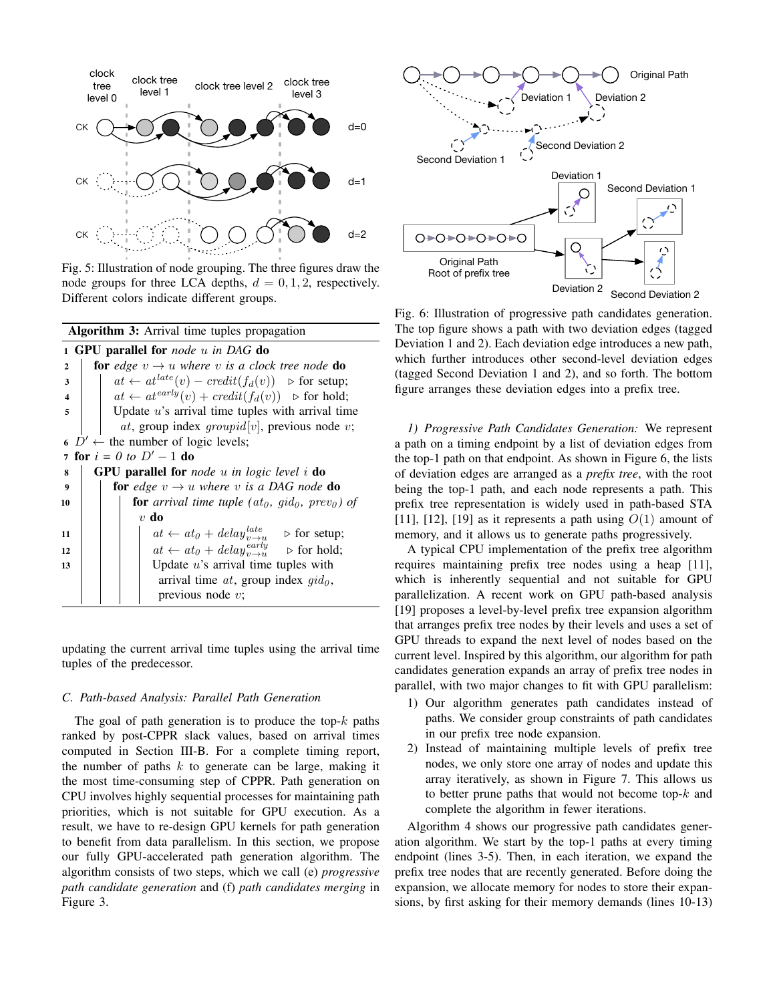

Fig. 5: Illustration of node grouping. The three figures draw the node groups for three LCA depths,  $d = 0, 1, 2$ , respectively. Different colors indicate different groups.

|              | <b>Algorithm 3:</b> Arrival time tuples propagation |                                                                                            |  |  |  |  |  |  |  |  |  |  |  |  |
|--------------|-----------------------------------------------------|--------------------------------------------------------------------------------------------|--|--|--|--|--|--|--|--|--|--|--|--|
|              | 1 GPU parallel for node u in DAG do                 |                                                                                            |  |  |  |  |  |  |  |  |  |  |  |  |
| $\mathbf{2}$ |                                                     | <b>for</b> edge $v \rightarrow u$ where v is a clock tree node <b>do</b>                   |  |  |  |  |  |  |  |  |  |  |  |  |
| 3            |                                                     | $at \leftarrow at^{late}(v) - credit(f_d(v)) \geq$ for setup;                              |  |  |  |  |  |  |  |  |  |  |  |  |
| 4            |                                                     | $at \leftarrow at^{early}(v) + credit(f_d(v))$ $\triangleright$ for hold;                  |  |  |  |  |  |  |  |  |  |  |  |  |
| 5            |                                                     | Update $u$ 's arrival time tuples with arrival time                                        |  |  |  |  |  |  |  |  |  |  |  |  |
|              | at, group index $groupid[v]$ , previous node v;     |                                                                                            |  |  |  |  |  |  |  |  |  |  |  |  |
|              |                                                     | 6 $D' \leftarrow$ the number of logic levels;                                              |  |  |  |  |  |  |  |  |  |  |  |  |
|              |                                                     | 7 for $i = 0$ to $D' - 1$ do                                                               |  |  |  |  |  |  |  |  |  |  |  |  |
| 8            |                                                     | <b>GPU</b> parallel for <i>node</i> u in logic level i <b>do</b>                           |  |  |  |  |  |  |  |  |  |  |  |  |
| 9            |                                                     | <b>for</b> edge $v \rightarrow u$ where v is a DAG node <b>do</b>                          |  |  |  |  |  |  |  |  |  |  |  |  |
| 10           |                                                     | <b>for</b> arrival time tuple (at <sub>0</sub> , gid <sub>0</sub> , prev <sub>0</sub> ) of |  |  |  |  |  |  |  |  |  |  |  |  |
|              |                                                     | $v$ do                                                                                     |  |  |  |  |  |  |  |  |  |  |  |  |
| 11           |                                                     | $at \leftarrow at_0 + delay_{v \rightarrow u}^{late}$<br>$\triangleright$ for setup;       |  |  |  |  |  |  |  |  |  |  |  |  |
| 12           |                                                     | $at \leftarrow at_0 + delay_{v \rightarrow v}^{early}$<br>$\triangleright$ for hold;       |  |  |  |  |  |  |  |  |  |  |  |  |
| 13           |                                                     | Update $u$ 's arrival time tuples with                                                     |  |  |  |  |  |  |  |  |  |  |  |  |
|              |                                                     | arrival time $at$ , group index $qid0$ ,                                                   |  |  |  |  |  |  |  |  |  |  |  |  |
|              |                                                     | previous node $v$ ;                                                                        |  |  |  |  |  |  |  |  |  |  |  |  |

updating the current arrival time tuples using the arrival time tuples of the predecessor.

#### *C. Path-based Analysis: Parallel Path Generation*

The goal of path generation is to produce the top- $k$  paths ranked by post-CPPR slack values, based on arrival times computed in Section III-B. For a complete timing report, the number of paths  $k$  to generate can be large, making it the most time-consuming step of CPPR. Path generation on CPU involves highly sequential processes for maintaining path priorities, which is not suitable for GPU execution. As a result, we have to re-design GPU kernels for path generation to benefit from data parallelism. In this section, we propose our fully GPU-accelerated path generation algorithm. The algorithm consists of two steps, which we call (e) *progressive path candidate generation* and (f) *path candidates merging* in Figure 3.



Fig. 6: Illustration of progressive path candidates generation. The top figure shows a path with two deviation edges (tagged Deviation 1 and 2). Each deviation edge introduces a new path, which further introduces other second-level deviation edges (tagged Second Deviation 1 and 2), and so forth. The bottom figure arranges these deviation edges into a prefix tree.

*1) Progressive Path Candidates Generation:* We represent a path on a timing endpoint by a list of deviation edges from the top-1 path on that endpoint. As shown in Figure 6, the lists of deviation edges are arranged as a *prefix tree*, with the root being the top-1 path, and each node represents a path. This prefix tree representation is widely used in path-based STA [11], [12], [19] as it represents a path using  $O(1)$  amount of memory, and it allows us to generate paths progressively.

A typical CPU implementation of the prefix tree algorithm requires maintaining prefix tree nodes using a heap [11], which is inherently sequential and not suitable for GPU parallelization. A recent work on GPU path-based analysis [19] proposes a level-by-level prefix tree expansion algorithm that arranges prefix tree nodes by their levels and uses a set of GPU threads to expand the next level of nodes based on the current level. Inspired by this algorithm, our algorithm for path candidates generation expands an array of prefix tree nodes in parallel, with two major changes to fit with GPU parallelism:

- 1) Our algorithm generates path candidates instead of paths. We consider group constraints of path candidates in our prefix tree node expansion.
- 2) Instead of maintaining multiple levels of prefix tree nodes, we only store one array of nodes and update this array iteratively, as shown in Figure 7. This allows us to better prune paths that would not become top- $k$  and complete the algorithm in fewer iterations.

Algorithm 4 shows our progressive path candidates generation algorithm. We start by the top-1 paths at every timing endpoint (lines 3-5). Then, in each iteration, we expand the prefix tree nodes that are recently generated. Before doing the expansion, we allocate memory for nodes to store their expansions, by first asking for their memory demands (lines 10-13)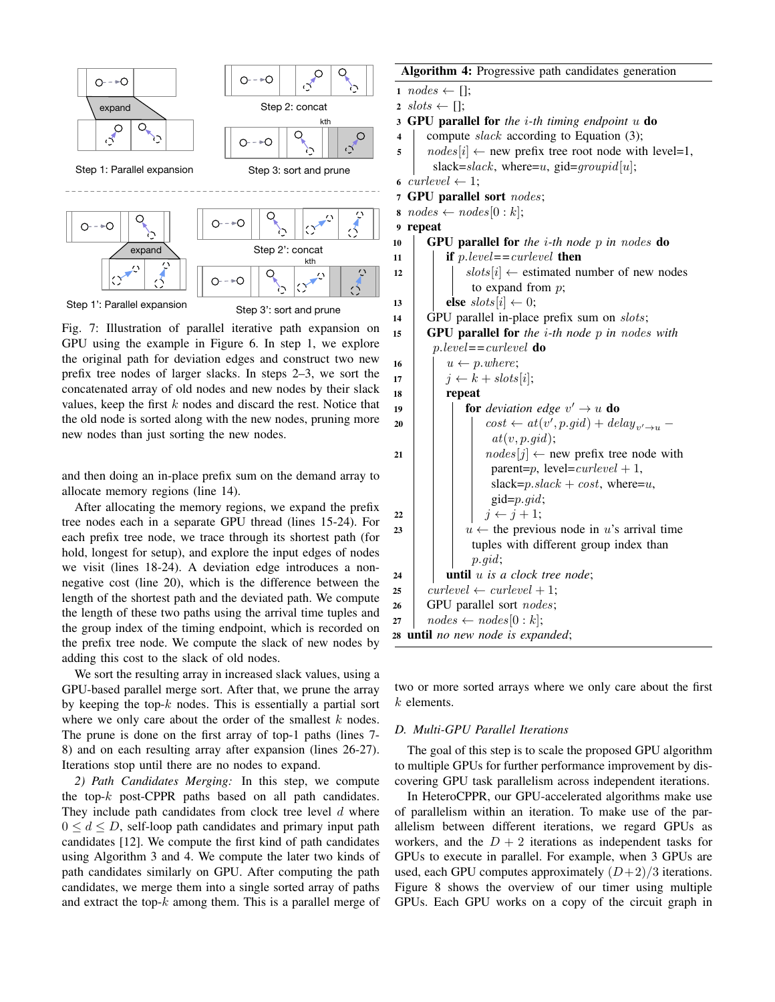

Fig. 7: Illustration of parallel iterative path expansion on GPU using the example in Figure 6. In step 1, we explore the original path for deviation edges and construct two new prefix tree nodes of larger slacks. In steps 2–3, we sort the concatenated array of old nodes and new nodes by their slack values, keep the first  $k$  nodes and discard the rest. Notice that the old node is sorted along with the new nodes, pruning more new nodes than just sorting the new nodes.

and then doing an in-place prefix sum on the demand array to allocate memory regions (line 14).

After allocating the memory regions, we expand the prefix tree nodes each in a separate GPU thread (lines 15-24). For each prefix tree node, we trace through its shortest path (for hold, longest for setup), and explore the input edges of nodes we visit (lines 18-24). A deviation edge introduces a nonnegative cost (line 20), which is the difference between the length of the shortest path and the deviated path. We compute the length of these two paths using the arrival time tuples and the group index of the timing endpoint, which is recorded on the prefix tree node. We compute the slack of new nodes by adding this cost to the slack of old nodes.

We sort the resulting array in increased slack values, using a GPU-based parallel merge sort. After that, we prune the array by keeping the top- $k$  nodes. This is essentially a partial sort where we only care about the order of the smallest  $k$  nodes. The prune is done on the first array of top-1 paths (lines 7- 8) and on each resulting array after expansion (lines 26-27). Iterations stop until there are no nodes to expand.

*2) Path Candidates Merging:* In this step, we compute the top- $k$  post-CPPR paths based on all path candidates. They include path candidates from clock tree level  $d$  where  $0 \leq d \leq D$ , self-loop path candidates and primary input path candidates [12]. We compute the first kind of path candidates using Algorithm 3 and 4. We compute the later two kinds of path candidates similarly on GPU. After computing the path candidates, we merge them into a single sorted array of paths and extract the top- $k$  among them. This is a parallel merge of

# Algorithm 4: Progressive path candidates generation 1  $nodes \leftarrow []$ ; 2 slots  $\leftarrow$  []; <sup>3</sup> GPU parallel for *the* i*-th timing endpoint* u do 4 compute *slack* according to Equation  $(3)$ ; 5 |  $nodes[i] \leftarrow new prefix tree root node with level=1,$ slack=slack, where=u, gid=groupid[u]; 6 curlevel  $\leftarrow$  1; <sup>7</sup> GPU parallel sort nodes;  $\boldsymbol{s} \mod s \leftarrow nodes[0:k];$ 9 repeat <sup>10</sup> GPU parallel for *the* i*-th node* p *in* nodes do 11 **if** p.level =  $\epsilon$ *curlevel* **then** 12 | |  $slosts[i] \leftarrow$  estimated number of new nodes to expand from  $p$ ; 13 **else**  $slots[i] \leftarrow 0;$ 14 GPU parallel in-place prefix sum on *slots*; <sup>15</sup> GPU parallel for *the* i*-th node* p *in* nodes *with* p.level*==*curlevel do 16  $u \leftarrow p.$  where; 17 |  $j \leftarrow k + slots[i];$  $18$  | repeat 19 **c c for** *deviation edge*  $v' \rightarrow u$  **do** 20  $\Box$  cost  $\leftarrow at(v', p.gid) + delay_{v' \rightarrow u}$  $at(v, p.gid);$ 21 | |  $nodes[j] \leftarrow new prefix tree node with$ parent=p, level=curlevel + 1, slack= $p.\text{slack} + \text{cost}$ , where= $u$ , gid=p.gid; 22 | | |  $j \leftarrow j + 1;$ 23  $|$   $|$   $|$   $|$   $|$   $\cdots$  the previous node in u's arrival time tuples with different group index than p.gid; 24 **until** u is a clock tree node; 25 curlevel  $\leftarrow$  curlevel  $+1$ ;  $26$  GPU parallel sort *nodes*;  $27 \mid nodes \leftarrow nodes[0:k];$ <sup>28</sup> until *no new node is expanded*;

two or more sorted arrays where we only care about the first k elements.

# *D. Multi-GPU Parallel Iterations*

The goal of this step is to scale the proposed GPU algorithm to multiple GPUs for further performance improvement by discovering GPU task parallelism across independent iterations.

In HeteroCPPR, our GPU-accelerated algorithms make use of parallelism within an iteration. To make use of the parallelism between different iterations, we regard GPUs as workers, and the  $D + 2$  iterations as independent tasks for GPUs to execute in parallel. For example, when 3 GPUs are used, each GPU computes approximately  $(D+2)/3$  iterations. Figure 8 shows the overview of our timer using multiple GPUs. Each GPU works on a copy of the circuit graph in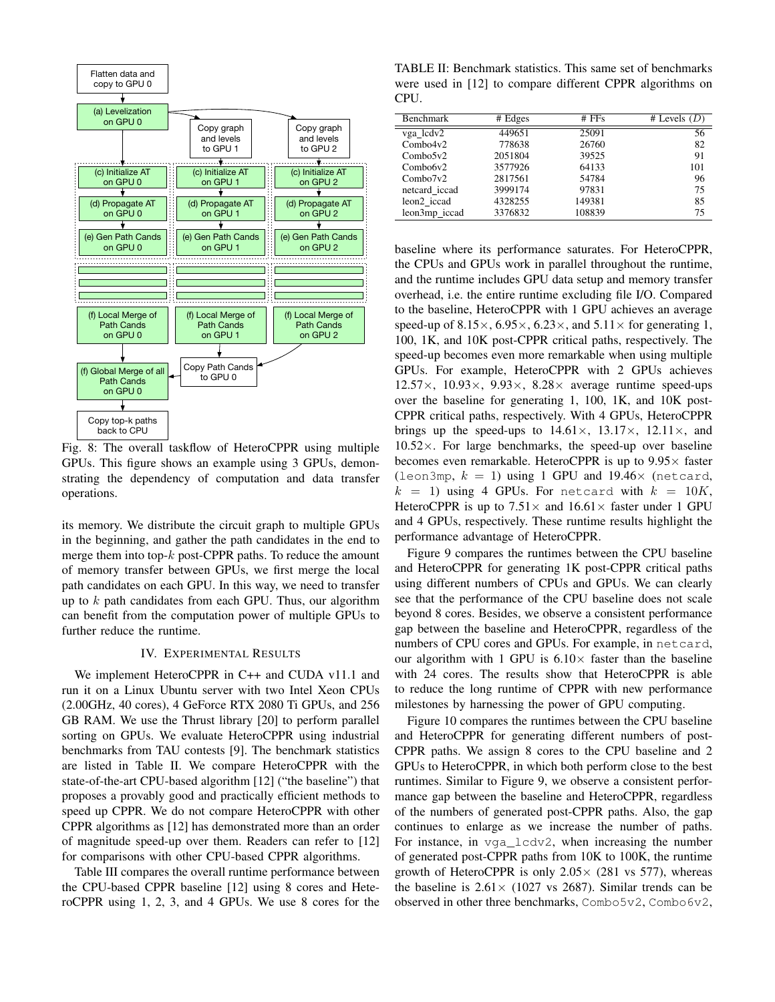

Fig. 8: The overall taskflow of HeteroCPPR using multiple GPUs. This figure shows an example using 3 GPUs, demonstrating the dependency of computation and data transfer operations.

its memory. We distribute the circuit graph to multiple GPUs in the beginning, and gather the path candidates in the end to merge them into top- $k$  post-CPPR paths. To reduce the amount of memory transfer between GPUs, we first merge the local path candidates on each GPU. In this way, we need to transfer up to  $k$  path candidates from each GPU. Thus, our algorithm can benefit from the computation power of multiple GPUs to further reduce the runtime.

# IV. EXPERIMENTAL RESULTS

We implement HeteroCPPR in C++ and CUDA v11.1 and run it on a Linux Ubuntu server with two Intel Xeon CPUs (2.00GHz, 40 cores), 4 GeForce RTX 2080 Ti GPUs, and 256 GB RAM. We use the Thrust library [20] to perform parallel sorting on GPUs. We evaluate HeteroCPPR using industrial benchmarks from TAU contests [9]. The benchmark statistics are listed in Table II. We compare HeteroCPPR with the state-of-the-art CPU-based algorithm [12] ("the baseline") that proposes a provably good and practically efficient methods to speed up CPPR. We do not compare HeteroCPPR with other CPPR algorithms as [12] has demonstrated more than an order of magnitude speed-up over them. Readers can refer to [12] for comparisons with other CPU-based CPPR algorithms.

Table III compares the overall runtime performance between the CPU-based CPPR baseline [12] using 8 cores and HeteroCPPR using 1, 2, 3, and 4 GPUs. We use 8 cores for the

TABLE II: Benchmark statistics. This same set of benchmarks were used in [12] to compare different CPPR algorithms on CPU.

| <b>Benchmark</b>        | # Edges | $#$ FFs | # Levels $(D)$ |
|-------------------------|---------|---------|----------------|
| vga lcdv2               | 449651  | 25091   | 56             |
| Combo4v2                | 778638  | 26760   | 82             |
| Combo5v2                | 2051804 | 39525   | 91             |
| Combo6v2                | 3577926 | 64133   | 101            |
| Combo7v2                | 2817561 | 54784   | 96             |
| netcard iccad           | 3999174 | 97831   | 75             |
| leon <sub>2</sub> iccad | 4328255 | 149381  | 85             |
| leon3mp iccad           | 3376832 | 108839  | 75             |

baseline where its performance saturates. For HeteroCPPR, the CPUs and GPUs work in parallel throughout the runtime, and the runtime includes GPU data setup and memory transfer overhead, i.e. the entire runtime excluding file I/O. Compared to the baseline, HeteroCPPR with 1 GPU achieves an average speed-up of 8.15 $\times$ , 6.95 $\times$ , 6.23 $\times$ , and 5.11 $\times$  for generating 1, 100, 1K, and 10K post-CPPR critical paths, respectively. The speed-up becomes even more remarkable when using multiple GPUs. For example, HeteroCPPR with 2 GPUs achieves  $12.57\times$ ,  $10.93\times$ ,  $9.93\times$ ,  $8.28\times$  average runtime speed-ups over the baseline for generating 1, 100, 1K, and 10K post-CPPR critical paths, respectively. With 4 GPUs, HeteroCPPR brings up the speed-ups to  $14.61 \times$ ,  $13.17 \times$ ,  $12.11 \times$ , and  $10.52\times$ . For large benchmarks, the speed-up over baseline becomes even remarkable. HeteroCPPR is up to  $9.95\times$  faster (leon3mp,  $k = 1$ ) using 1 GPU and 19.46 $\times$  (netcard,  $k = 1$ ) using 4 GPUs. For netcard with  $k = 10K$ , HeteroCPPR is up to  $7.51 \times$  and  $16.61 \times$  faster under 1 GPU and 4 GPUs, respectively. These runtime results highlight the performance advantage of HeteroCPPR.

Figure 9 compares the runtimes between the CPU baseline and HeteroCPPR for generating 1K post-CPPR critical paths using different numbers of CPUs and GPUs. We can clearly see that the performance of the CPU baseline does not scale beyond 8 cores. Besides, we observe a consistent performance gap between the baseline and HeteroCPPR, regardless of the numbers of CPU cores and GPUs. For example, in netcard, our algorithm with 1 GPU is  $6.10\times$  faster than the baseline with 24 cores. The results show that HeteroCPPR is able to reduce the long runtime of CPPR with new performance milestones by harnessing the power of GPU computing.

Figure 10 compares the runtimes between the CPU baseline and HeteroCPPR for generating different numbers of post-CPPR paths. We assign 8 cores to the CPU baseline and 2 GPUs to HeteroCPPR, in which both perform close to the best runtimes. Similar to Figure 9, we observe a consistent performance gap between the baseline and HeteroCPPR, regardless of the numbers of generated post-CPPR paths. Also, the gap continues to enlarge as we increase the number of paths. For instance, in vga\_lcdv2, when increasing the number of generated post-CPPR paths from 10K to 100K, the runtime growth of HeteroCPPR is only  $2.05 \times (281 \text{ vs } 577)$ , whereas the baseline is  $2.61 \times (1027 \text{ vs } 2687)$ . Similar trends can be observed in other three benchmarks, Combo5v2, Combo6v2,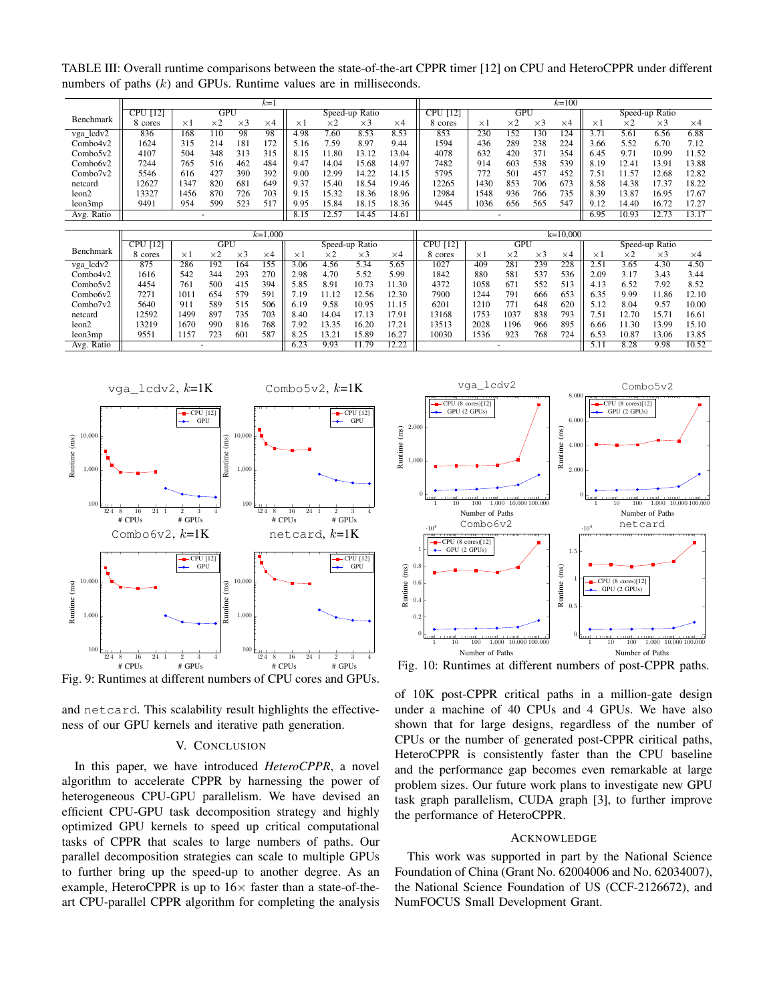TABLE III: Overall runtime comparisons between the state-of-the-art CPPR timer [12] on CPU and HeteroCPPR under different numbers of paths  $(k)$  and GPUs. Runtime values are in milliseconds.

|                   |                                          |            | $k=1$      |     |            |                           | $k=100$    |       |            |         |            |                |              |     |          |            |            |            |
|-------------------|------------------------------------------|------------|------------|-----|------------|---------------------------|------------|-------|------------|---------|------------|----------------|--------------|-----|----------|------------|------------|------------|
|                   | GPU<br><b>CPU</b> [12]<br>Speed-up Ratio |            |            |     |            | CPU<br>$\lceil 12 \rceil$ | GPU        |       |            |         |            | Speed-up Ratio |              |     |          |            |            |            |
| Benchmark         | 8 cores                                  | $\times 1$ | $\times 2$ | ×З  | $\times 4$ | $\times 1$                | $\times 2$ | ×3    | $\times 4$ | 8 cores | $\times 1$ | $\times 2$     | $\times$ 3   | ×4  | $\times$ | $\times 2$ | $\times$ 3 | $\times 4$ |
| vga_lcdv2         | 836                                      | 168        | 110        | 98  | 98         | 4.98                      | 7.60       | 8.53  | 8.53       | 853     | 230        | 152            | !30          | 124 | 3.7      | 5.61       | 6.56       | 6.88       |
| Combo4v2          | 1624                                     | 315        | 214        | 181 | 172        | 5.16                      | 7.59       | 8.97  | 9.44       | 1594    | 436        | 289            | 238          | 224 | 3.66     | 5.52       | 6.70       | 7.12       |
| $Comb_05v2$       | 4107                                     | 504        | 348        | 313 | 315        | 8.15                      | .80<br>11  | 13.12 | 13.04      | 4078    | 632        | 420            | 371          | 354 | 6.45     | 9.71       | 10.99      | 11.52      |
| Combo6v2          | 7244                                     | 765        | 516        | 462 | 484        | 9.47                      | 14.04      | 15.68 | 14.97      | 7482    | 914        | 603            | 538          | 539 | 8.19     | 12.4       | 13.91      | 13.88      |
| Combo7v2          | 5546                                     | 616        | 427        | 390 | 392        | 9.00                      | 12.99      | 14.22 | 14.15      | 5795    | 772        | 501            | $45^{\circ}$ | 452 | '5،      |            | 12.68      | 12.82      |
| netcard           | 2627                                     | 1347       | 820        | 681 | 649        | 9.37                      | 15.40      | 18.54 | 19.46      | 2265    | 1430       | 853            | 706          | 673 | 8.58     | 14.38      | 17.37      | 18.22      |
| leon <sub>2</sub> | 13327                                    | 1456       | 870        | 726 | 703        | 9.15                      | 15.32      | 18.36 | 18.96      | 2984    | 1548       | 936            | 766          | 735 | 8.39     | 13.87      | 16.95      | 17.67      |
| leon3mp           | 9491                                     | 954        | 599        | 523 | 517        | 9.95                      | 15.84      | 18.15 | 18.36      | 9445    | 1036       | 656            | 565          | 547 | 9.12     | 14.40      | 16.72      | 17.27      |
| Avg. Ratio        |                                          |            |            |     |            | 8.15                      | 12.57      | 14.45 | 14.61      |         |            |                |              |     | 6.95     | 10.93      |            | 13.17      |

|                   |                 |            |            | $k=1,000$  |                  |          |            | $k=10,000$ |                 |         |           |            |     |                |            |            |       |            |
|-------------------|-----------------|------------|------------|------------|------------------|----------|------------|------------|-----------------|---------|-----------|------------|-----|----------------|------------|------------|-------|------------|
|                   | <b>CPU</b> [12] | GPU        |            |            | Speed-up Ratio   |          |            |            | <b>CPU</b> [12] | GPU     |           |            |     | Speed-up Ratio |            |            |       |            |
| Benchmark         | 8 cores         | $\times 1$ | $\times 2$ | $\times$ 3 | $\times 4$       | $\times$ | $\times 2$ | $\times$ 3 | $\times$ 4      | 8 cores | $\times1$ | $\times 2$ | ×З  | $\times 4$     | $\times 1$ | $\times 2$ | ×З    | $\times$ 4 |
| vga_lcdv2         | 875             | 286        | 192        | 164        | $\overline{155}$ | 3.06     | 4.56       | 5.34       | 5.65            | 1027    | 409       | 281        | 239 | 228            | 2.51       | 3.65       | 4.30  | 4.50       |
| Combo4v2          | 1616            | 542        | 344        | 293        | 270              | 2.98     | 4.70       | 5.52       | 5.99            | 1842    | 880       | 581        | 537 | 536            | 2.09       | 3.17       | 3.43  | 3.44       |
| Combo5v2          | 4454            | 761        | 500        | 415        | 394              | 5.85     | 8.91       | 10.73      | 1.30            | 4372    | 1058      | 671        | 552 | 513            | 4.13       | 6.52       | 7.92  | 8.52       |
| Combo6v2          | 7271            | 1011       | 654        | 579        | 591              | .19      | 11.12      | 2.56       | 2.30            | 7900    | '244      | 791        | 666 | 653            | 6.35       | 9.99       | 1.86  | 12.10      |
| Combo7v2          | 5640            | 911        | 589        | 515        | 506              | 6.19     | 9.58       | 10.95      | 11.15           | 6201    | 1210      | 771        | 648 | 620            | 5.12       | 8.04       | 9.57  | 10.00      |
| netcard           | 2592            | 1499       | 897        | 735        | 703              | 8.40     | 14.04      | 7.13       | 7.91            | 13168   | 753       | 1037       | 838 | 793            | 7.51       | 2.70       | 15.71 | 16.61      |
| leon <sub>2</sub> | 13219           | 1670       | 990        | 816        | 768              | '.92     | 13.35      | 16.20      | 7.2             | 13513   | 2028      | 1196       | 966 | 895            | 6.66       | .30        | 13.99 | 15.10      |
| leon3mp           | 9551            | 1157       | 723        | 601        | 587              | 8.25     | 13.21      | 15.89      | 16.27           | 10030   | 536       | 923        | 768 | 724            | 6.53       | 10.87      | 13.06 | 13.85      |
| Avg. Ratio        |                 |            |            |            |                  | 6.23     | 9.93       | 1.79       | 12.22           |         |           | ۰          |     |                |            | 8.28       | 9.98  | 10.52      |



Fig. 9: Runtimes at different numbers of CPU cores and GPUs.

and netcard. This scalability result highlights the effectiveness of our GPU kernels and iterative path generation.

# V. CONCLUSION

In this paper, we have introduced *HeteroCPPR*, a novel algorithm to accelerate CPPR by harnessing the power of heterogeneous CPU-GPU parallelism. We have devised an efficient CPU-GPU task decomposition strategy and highly optimized GPU kernels to speed up critical computational tasks of CPPR that scales to large numbers of paths. Our parallel decomposition strategies can scale to multiple GPUs to further bring up the speed-up to another degree. As an example, HeteroCPPR is up to  $16\times$  faster than a state-of-theart CPU-parallel CPPR algorithm for completing the analysis



Fig. 10: Runtimes at different numbers of post-CPPR paths.

of 10K post-CPPR critical paths in a million-gate design under a machine of 40 CPUs and 4 GPUs. We have also shown that for large designs, regardless of the number of CPUs or the number of generated post-CPPR ciritical paths, HeteroCPPR is consistently faster than the CPU baseline and the performance gap becomes even remarkable at large problem sizes. Our future work plans to investigate new GPU task graph parallelism, CUDA graph [3], to further improve the performance of HeteroCPPR.

#### ACKNOWLEDGE

This work was supported in part by the National Science Foundation of China (Grant No. 62004006 and No. 62034007), the National Science Foundation of US (CCF-2126672), and NumFOCUS Small Development Grant.